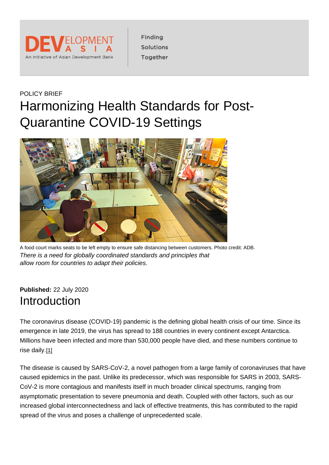### POLICY BRIEF Harmonizing Health Standards for Post-Quarantine COVID-19 Settings

A food court marks seats to be left empty to ensure safe distancing between customers. Photo credit: ADB. There is a need for globally coordinated standards and principles that allow room for countries to adapt their policies.

Published: 22 July 2020 Introduction

The coronavirus disease (COVID-19) pandemic is the defining global health crisis of our time. Since its emergence in late 2019, the virus has spread to 188 countries in every continent except Antarctica. Millions have been infected and more than 530,000 people have died, and these numbers continue to rise daily.[\[1\]](https://development.asia/printpdf/policy-brief/harmonizing-health-standards-post-quarantine-covid-19-settings#_ftn1)

The disease is caused by SARS-CoV-2, a novel pathogen from a large family of coronaviruses that have caused epidemics in the past. Unlike its predecessor, which was responsible for SARS in 2003, SARS-CoV-2 is more contagious and manifests itself in much broader clinical spectrums, ranging from asymptomatic presentation to severe pneumonia and death. Coupled with other factors, such as our increased global interconnectedness and lack of effective treatments, this has contributed to the rapid spread of the virus and poses a challenge of unprecedented scale.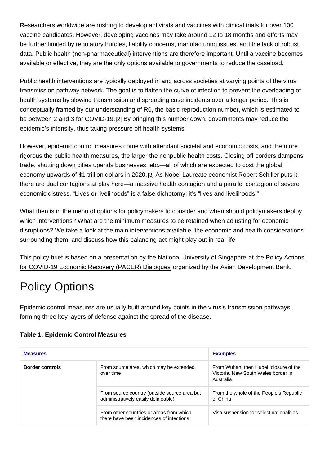Researchers worldwide are rushing to develop antivirals and vaccines with clinical trials for over 100 vaccine candidates. However, developing vaccines may take around 12 to 18 months and efforts may be further limited by regulatory hurdles, liability concerns, manufacturing issues, and the lack of robust data. Public health (non-pharmaceutical) interventions are therefore important. Until a vaccine becomes available or effective, they are the only options available to governments to reduce the caseload.

Public health interventions are typically deployed in and across societies at varying points of the virus transmission pathway network. The goal is to flatten the curve of infection to prevent the overloading of health systems by slowing transmission and spreading case incidents over a longer period. This is conceptually framed by our understanding of R0, the basic reproduction number, which is estimated to be between 2 and 3 for COVID-19.[\[2\]](https://development.asia/printpdf/policy-brief/harmonizing-health-standards-post-quarantine-covid-19-settings#_ftn2) By bringing this number down, governments may reduce the epidemic's intensity, thus taking pressure off health systems.

However, epidemic control measures come with attendant societal and economic costs, and the more rigorous the public health measures, the larger the nonpublic health costs. Closing off borders dampens trade, shutting down cities upends businesses, etc.—all of which are expected to cost the global economy upwards of \$1 trillion dollars in 2020.[\[3\]](https://development.asia/printpdf/policy-brief/harmonizing-health-standards-post-quarantine-covid-19-settings#_ftn3) As Nobel Laureate economist Robert Schiller puts it, there are dual contagions at play here—a massive health contagion and a parallel contagion of severe economic distress. "Lives or livelihoods" is a false dichotomy; it's "lives and livelihoods."

What then is in the menu of options for policymakers to consider and when should policymakers deploy which interventions? What are the minimum measures to be retained when adjusting for economic disruptions? We take a look at the main interventions available, the economic and health considerations surrounding them, and discuss how this balancing act might play out in real life.

This policy brief is based on a [presentation by the National University of Singapore](https://events.development.asia/node/26851) at the [Policy Actions](https://events.development.asia/learning-events/policy-actions-covid-19-economic-recovery-pacer-dialogues)  [for COVID-19 Economic Recovery \(PACER\) Dialogues](https://events.development.asia/learning-events/policy-actions-covid-19-economic-recovery-pacer-dialogues) organized by the Asian Development Bank.

# Policy Options

Epidemic control measures are usually built around key points in the virus's transmission pathways, forming three key layers of defense against the spread of the disease.

| <b>Measures</b> |                                                                                      | <b>Examples</b>                                                                            |
|-----------------|--------------------------------------------------------------------------------------|--------------------------------------------------------------------------------------------|
| Border controls | From source area, which may be extended<br>over time                                 | From Wuhan, then Hubei; closure of the<br>Victoria, New South Wales border in<br>Australia |
|                 | From source country (outside source area but<br>administratively easily delineable)  | From the whole of the People's Republic<br>of China                                        |
|                 | From other countries or areas from which<br>there have been incidences of infections | Visa suspension for select nationalities                                                   |

### Table 1: Epidemic Control Measures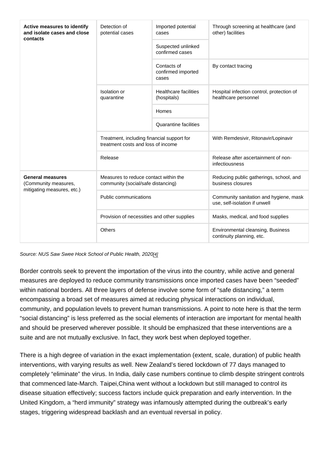| Active measures to identify<br>and isolate cases and close<br>contacts | Detection of<br>potential cases                                                  | Imported potential<br>cases                 | Through screening at healthcare (and<br>other) facilities               |
|------------------------------------------------------------------------|----------------------------------------------------------------------------------|---------------------------------------------|-------------------------------------------------------------------------|
|                                                                        |                                                                                  | Suspected unlinked<br>confirmed cases       |                                                                         |
|                                                                        |                                                                                  | Contacts of<br>confirmed imported<br>cases  | By contact tracing                                                      |
|                                                                        | Isolation or<br>quarantine                                                       | <b>Healthcare facilities</b><br>(hospitals) | Hospital infection control, protection of<br>healthcare personnel       |
|                                                                        |                                                                                  | Homes                                       |                                                                         |
|                                                                        |                                                                                  | Quarantine facilities                       |                                                                         |
|                                                                        | Treatment, including financial support for<br>treatment costs and loss of income |                                             | With Remdesivir, Ritonavir/Lopinavir                                    |
|                                                                        | Release                                                                          |                                             | Release after ascertainment of non-<br>infectiousness                   |
| General measures<br>(Community measures,<br>mitigating measures, etc.) | Measures to reduce contact within the<br>community (social/safe distancing)      |                                             | Reducing public gatherings, school, and<br>business closures            |
|                                                                        | Public communications                                                            |                                             | Community sanitation and hygiene, mask<br>use, self-isolation if unwell |
|                                                                        | Provision of necessities and other supplies                                      |                                             | Masks, medical, and food supplies                                       |
|                                                                        | Others                                                                           |                                             | Environmental cleansing, Business<br>continuity planning, etc.          |

Source: NUS Saw Swee Hock School of Public Health, 2020[\[4\]](https://development.asia/printpdf/policy-brief/harmonizing-health-standards-post-quarantine-covid-19-settings#_ftn4)

Border controls seek to prevent the importation of the virus into the country, while active and general measures are deployed to reduce community transmissions once imported cases have been "seeded" within national borders. All three layers of defense involve some form of "safe distancing," a term encompassing a broad set of measures aimed at reducing physical interactions on individual, community, and population levels to prevent human transmissions. A point to note here is that the term "social distancing" is less preferred as the social elements of interaction are important for mental health and should be preserved wherever possible. It should be emphasized that these interventions are a suite and are not mutually exclusive. In fact, they work best when deployed together.

There is a high degree of variation in the exact implementation (extent, scale, duration) of public health interventions, with varying results as well. New Zealand's tiered lockdown of 77 days managed to completely "eliminate" the virus. In India, daily case numbers continue to climb despite stringent controls that commenced late-March. Taipei,China went without a lockdown but still managed to control its disease situation effectively; success factors include quick preparation and early intervention. In the United Kingdom, a "herd immunity" strategy was infamously attempted during the outbreak's early stages, triggering widespread backlash and an eventual reversal in policy.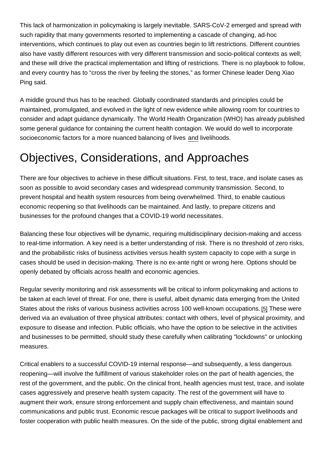This lack of harmonization in policymaking is largely inevitable. SARS-CoV-2 emerged and spread with such rapidity that many governments resorted to implementing a cascade of changing, ad-hoc interventions, which continues to play out even as countries begin to lift restrictions. Different countries also have vastly different resources with very different transmission and socio-political contexts as well; and these will drive the practical implementation and lifting of restrictions. There is no playbook to follow, and every country has to "cross the river by feeling the stones," as former Chinese leader Deng Xiao Ping said.

A middle ground thus has to be reached. Globally coordinated standards and principles could be maintained, promulgated, and evolved in the light of new evidence while allowing room for countries to consider and adapt guidance dynamically. The World Health Organization (WHO) has already published some general guidance for containing the current health contagion. We would do well to incorporate socioeconomic factors for a more nuanced balancing of lives and livelihoods.

# Objectives, Considerations, and Approaches

There are four objectives to achieve in these difficult situations. First, to test, trace, and isolate cases as soon as possible to avoid secondary cases and widespread community transmission. Second, to prevent hospital and health system resources from being overwhelmed. Third, to enable cautious economic reopening so that livelihoods can be maintained. And lastly, to prepare citizens and businesses for the profound changes that a COVID-19 world necessitates.

Balancing these four objectives will be dynamic, requiring multidisciplinary decision-making and access to real-time information. A key need is a better understanding of risk. There is no threshold of zero risks, and the probabilistic risks of business activities versus health system capacity to cope with a surge in cases should be used in decision-making. There is no ex-ante right or wrong here. Options should be openly debated by officials across health and economic agencies.

Regular severity monitoring and risk assessments will be critical to inform policymaking and actions to be taken at each level of threat. For one, there is useful, albeit dynamic data emerging from the United States about the risks of various business activities across 100 well-known occupations. [\[5\]](https://development.asia/printpdf/policy-brief/harmonizing-health-standards-post-quarantine-covid-19-settings#_ftn5) These were derived via an evaluation of three physical attributes: contact with others, level of physical proximity, and exposure to disease and infection. Public officials, who have the option to be selective in the activities and businesses to be permitted, should study these carefully when calibrating "lockdowns" or unlocking measures.

Critical enablers to a successful COVID-19 internal response—and subsequently, a less dangerous reopening—will involve the fulfillment of various stakeholder roles on the part of health agencies, the rest of the government, and the public. On the clinical front, health agencies must test, trace, and isolate cases aggressively and preserve health system capacity. The rest of the government will have to augment their work, ensure strong enforcement and supply chain effectiveness, and maintain sound communications and public trust. Economic rescue packages will be critical to support livelihoods and foster cooperation with public health measures. On the side of the public, strong digital enablement and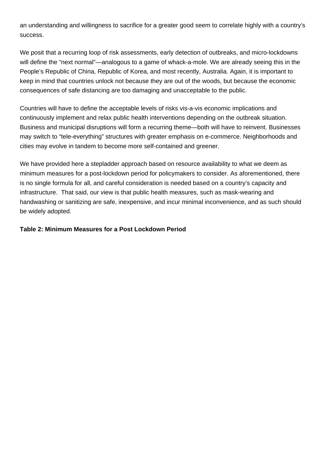an understanding and willingness to sacrifice for a greater good seem to correlate highly with a country's success.

We posit that a recurring loop of risk assessments, early detection of outbreaks, and micro-lockdowns will define the "next normal"—analogous to a game of whack-a-mole. We are already seeing this in the People's Republic of China, Republic of Korea, and most recently, Australia. Again, it is important to keep in mind that countries unlock not because they are out of the woods, but because the economic consequences of safe distancing are too damaging and unacceptable to the public.

Countries will have to define the acceptable levels of risks vis-a-vis economic implications and continuously implement and relax public health interventions depending on the outbreak situation. Business and municipal disruptions will form a recurring theme—both will have to reinvent. Businesses may switch to "tele-everything" structures with greater emphasis on e-commerce. Neighborhoods and cities may evolve in tandem to become more self-contained and greener.

We have provided here a stepladder approach based on resource availability to what we deem as minimum measures for a post-lockdown period for policymakers to consider. As aforementioned, there is no single formula for all, and careful consideration is needed based on a country's capacity and infrastructure. That said, our view is that public health measures, such as mask-wearing and handwashing or sanitizing are safe, inexpensive, and incur minimal inconvenience, and as such should be widely adopted.

#### **Table 2: Minimum Measures for a Post Lockdown Period**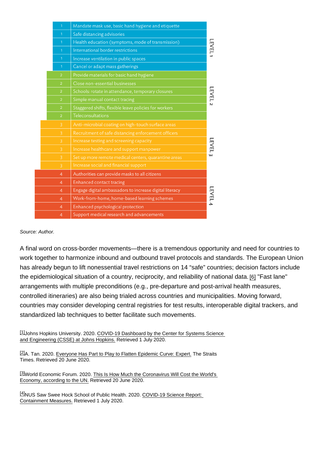Source: Author.

A final word on cross-border movements—there is a tremendous opportunity and need for countries to work together to harmonize inbound and outbound travel protocols and standards. The European Union has already begun to lift nonessential travel restrictions on 14 "safe" countries; decision factors include the epidemiological situation of a country, reciprocity, and reliability of national data. [\[6\]](https://development.asia/printpdf/policy-brief/harmonizing-health-standards-post-quarantine-covid-19-settings#_ftn6) "Fast lane" arrangements with multiple preconditions (e.g., pre-departure and post-arrival health measures, controlled itineraries) are also being trialed across countries and municipalities. Moving forward, countries may consider developing central registries for test results, interoperable digital trackers, and standardized lab techniques to better facilitate such movements.

[\[1\]](https://development.asia/printpdf/policy-brief/harmonizing-health-standards-post-quarantine-covid-19-settings#_ftnref1) Johns Hopkins University. 2020. COVID-19 Dashboard by the Center for Systems Science [and Engineering \(CSSE\) at Johns Hopkins.](https://www.arcgis.com/apps/opsdashboard/index.html#/bda7594740fd40299423467b48e9ecf6) Retrieved 1 July 2020.

[\[2\]](https://development.asia/printpdf/policy-brief/harmonizing-health-standards-post-quarantine-covid-19-settings#_ftnref2)A. Tan. 2020. [Everyone Has Part to Play to Flatten Epidemic Curve: Expert.](https://www.straitstimes.com/singapore/health/everyone-has-part-to-play-to-flatten-epidemic-curve-expert) The Straits Times. Retrieved 20 June 2020.

[\[3\]](https://development.asia/printpdf/policy-brief/harmonizing-health-standards-post-quarantine-covid-19-settings#_ftnref3)World Economic Forum. 2020. [This Is How Much the Coronavirus Will Cost the World's](https://www.weforum.org/agenda/2020/03/coronavirus-covid-19-cost-economy-2020-un-trade-economics-pandemic/)  [Economy, according to the UN.](https://www.weforum.org/agenda/2020/03/coronavirus-covid-19-cost-economy-2020-un-trade-economics-pandemic/) Retrieved 20 June 2020.

[\[4\]](https://development.asia/printpdf/policy-brief/harmonizing-health-standards-post-quarantine-covid-19-settings#_ftnref4)NUS Saw Swee Hock School of Public Health. 2020. [COVID-19 Science Report:](https://sph.nus.edu.sg/wp-content/uploads/2020/06/COVID-19-Science-Report-Containment-Measures-30-Jun.pdf)  [Containment Measures.](https://sph.nus.edu.sg/wp-content/uploads/2020/06/COVID-19-Science-Report-Containment-Measures-30-Jun.pdf) Retrieved 1 July 2020.